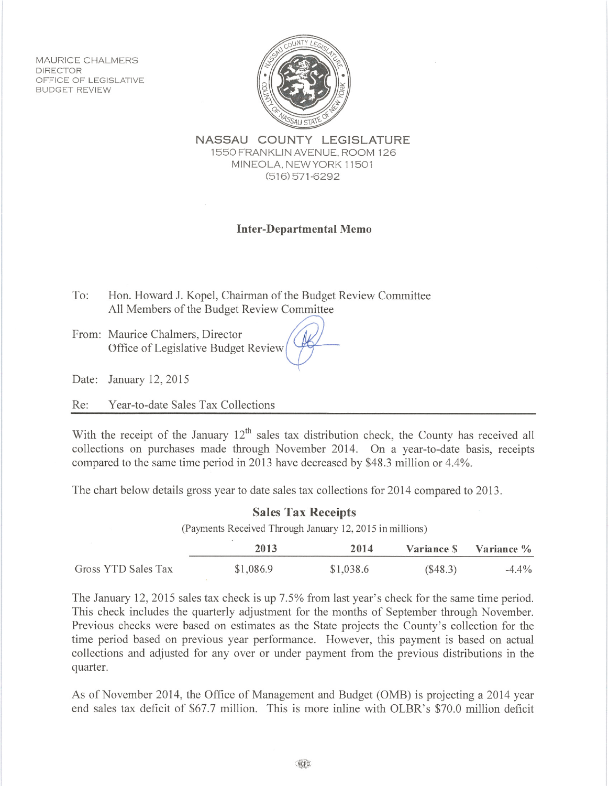**MAURICE CHALMERS DIRECTOR** OFFICE OF LEGISLATIVE **BUDGET REVIEW** 



NASSAU COUNTY LEGISLATURE 1550 FRANKLIN AVENUE, ROOM 126 MINEOLA. NEW YORK 11501  $(516)571-6292$ 

## **Inter-Departmental Memo**

To: Hon. Howard J. Kopel, Chairman of the Budget Review Committee All Members of the Budget Review Committee

From: Maurice Chalmers, Director Office of Legislative Budget Review

Date: January 12, 2015

Re: Year-to-date Sales Tax Collections

With the receipt of the January 12<sup>th</sup> sales tax distribution check, the County has received all collections on purchases made through November 2014. On a vear-to-date basis, receipts compared to the same time period in 2013 have decreased by \$48.3 million or 4.4%.

The chart below details gross year to date sales tax collections for 2014 compared to 2013.

## **Sales Tax Receipts** (Payments Received Through January 12, 2015 in millions)  $\mathbb{R}^n$ and and

|                     | 2013      | 2014      |            | Variance S Variance % |
|---------------------|-----------|-----------|------------|-----------------------|
| Gross YTD Sales Tax | \$1,086.9 | \$1,038.6 | $(\$48.3)$ | $-4.4\%$              |

The January 12, 2015 sales tax check is up 7.5% from last year's check for the same time period. This check includes the quarterly adjustment for the months of September through November. Previous checks were based on estimates as the State projects the County's collection for the time period based on previous year performance. However, this payment is based on actual collections and adjusted for any over or under payment from the previous distributions in the quarter.

As of November 2014, the Office of Management and Budget (OMB) is projecting a 2014 year end sales tax deficit of \$67.7 million. This is more inline with OLBR's \$70.0 million deficit